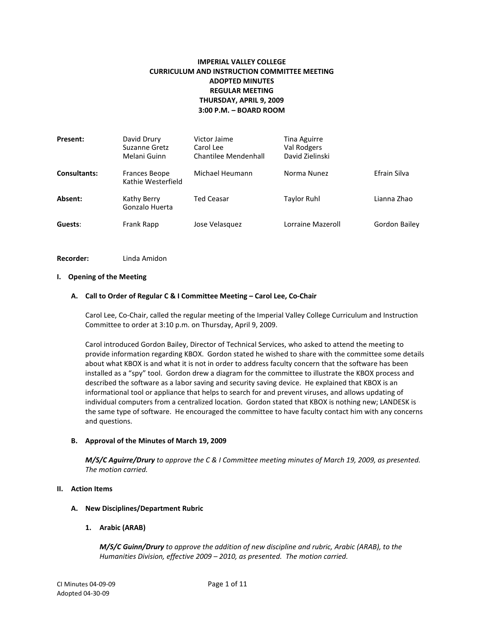# **IMPERIAL VALLEY COLLEGE CURRICULUM AND INSTRUCTION COMMITTEE MEETING ADOPTED MINUTES REGULAR MEETING THURSDAY, APRIL 9, 2009 3:00 P.M. – BOARD ROOM**

| <b>Present:</b> | David Drury<br>Suzanne Gretz<br>Melani Guinn | Victor Jaime<br>Carol Lee<br>Chantilee Mendenhall | Tina Aguirre<br>Val Rodgers<br>David Zielinski |                      |
|-----------------|----------------------------------------------|---------------------------------------------------|------------------------------------------------|----------------------|
| Consultants:    | Frances Beope<br>Kathie Westerfield          | Michael Heumann                                   | Norma Nunez                                    | Efrain Silva         |
| Absent:         | Kathy Berry<br>Gonzalo Huerta                | <b>Ted Ceasar</b>                                 | <b>Taylor Ruhl</b>                             | Lianna Zhao          |
| Guests:         | Frank Rapp                                   | Jose Velasquez                                    | Lorraine Mazeroll                              | <b>Gordon Bailey</b> |

**Recorder:** Linda Amidon

## **I. Opening of the Meeting**

## **A. Call to Order of Regular C & I Committee Meeting – Carol Lee, Co-Chair**

Carol Lee, Co-Chair, called the regular meeting of the Imperial Valley College Curriculum and Instruction Committee to order at 3:10 p.m. on Thursday, April 9, 2009.

Carol introduced Gordon Bailey, Director of Technical Services, who asked to attend the meeting to provide information regarding KBOX. Gordon stated he wished to share with the committee some details about what KBOX is and what it is not in order to address faculty concern that the software has been installed as a "spy" tool. Gordon drew a diagram for the committee to illustrate the KBOX process and described the software as a labor saving and security saving device. He explained that KBOX is an informational tool or appliance that helps to search for and prevent viruses, and allows updating of individual computers from a centralized location. Gordon stated that KBOX is nothing new; LANDESK is the same type of software. He encouraged the committee to have faculty contact him with any concerns and questions.

# **B. Approval of the Minutes of March 19, 2009**

*M/S/C Aguirre/Drury to approve the C & I Committee meeting minutes of March 19, 2009, as presented. The motion carried.*

# **II. Action Items**

#### **A. New Disciplines/Department Rubric**

#### **1. Arabic (ARAB)**

*M/S/C Guinn/Drury to approve the addition of new discipline and rubric, Arabic (ARAB), to the Humanities Division, effective 2009 – 2010, as presented. The motion carried.*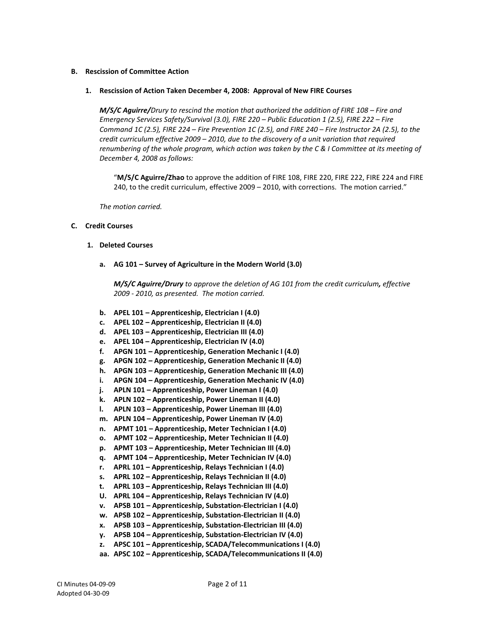## **B. Rescission of Committee Action**

#### **1. Rescission of Action Taken December 4, 2008: Approval of New FIRE Courses**

*M/S/C Aguirre/Drury to rescind the motion that authorized the addition of FIRE 108 – Fire and Emergency Services Safety/Survival (3.0), FIRE 220 – Public Education 1 (2.5), FIRE 222 – Fire Command 1C (2.5), FIRE 224 – Fire Prevention 1C (2.5), and FIRE 240 – Fire Instructor 2A (2.5), to the credit curriculum effective 2009 – 2010, due to the discovery of a unit variation that required renumbering of the whole program, which action was taken by the C & I Committee at its meeting of December 4, 2008 as follows:* 

"**M/S/C Aguirre/Zhao** to approve the addition of FIRE 108, FIRE 220, FIRE 222, FIRE 224 and FIRE 240, to the credit curriculum, effective 2009 – 2010, with corrections. The motion carried."

*The motion carried.* 

## **C. Credit Courses**

- **1. Deleted Courses**
	- **a. AG 101 – Survey of Agriculture in the Modern World (3.0)**

*M/S/C Aguirre/Drury to approve the deletion of AG 101 from the credit curriculum, effective 2009 - 2010, as presented. The motion carried.*

- **b. APEL 101 – Apprenticeship, Electrician I (4.0)**
- **c. APEL 102 – Apprenticeship, Electrician II (4.0)**
- **d. APEL 103 – Apprenticeship, Electrician III (4.0)**
- **e. APEL 104 – Apprenticeship, Electrician IV (4.0)**
- **f. APGN 101 – Apprenticeship, Generation Mechanic I (4.0)**
- **g. APGN 102 – Apprenticeship, Generation Mechanic II (4.0)**
- **h. APGN 103 – Apprenticeship, Generation Mechanic III (4.0)**
- **i. APGN 104 – Apprenticeship, Generation Mechanic IV (4.0)**
- **j. APLN 101 – Apprenticeship, Power Lineman I (4.0)**
- **k. APLN 102 – Apprenticeship, Power Lineman II (4.0)**
- **l. APLN 103 – Apprenticeship, Power Lineman III (4.0)**
- **m. APLN 104 – Apprenticeship, Power Lineman IV (4.0)**
- **n. APMT 101 – Apprenticeship, Meter Technician I (4.0)**
- **o. APMT 102 – Apprenticeship, Meter Technician II (4.0)**
- **p. APMT 103 – Apprenticeship, Meter Technician III (4.0)**
- **q. APMT 104 – Apprenticeship, Meter Technician IV (4.0)**
- **r. APRL 101 – Apprenticeship, Relays Technician I (4.0)**
- **s. APRL 102 – Apprenticeship, Relays Technician II (4.0)**
- **t. APRL 103 – Apprenticeship, Relays Technician III (4.0)**
- **U. APRL 104 – Apprenticeship, Relays Technician IV (4.0)**
- **v. APSB 101 – Apprenticeship, Substation-Electrician I (4.0)**
- **w. APSB 102 – Apprenticeship, Substation-Electrician II (4.0)**
- **x. APSB 103 – Apprenticeship, Substation-Electrician III (4.0)**
- **y. APSB 104 – Apprenticeship, Substation-Electrician IV (4.0)**
- **z. APSC 101 – Apprenticeship, SCADA/Telecommunications I (4.0)**
- **aa. APSC 102 – Apprenticeship, SCADA/Telecommunications II (4.0)**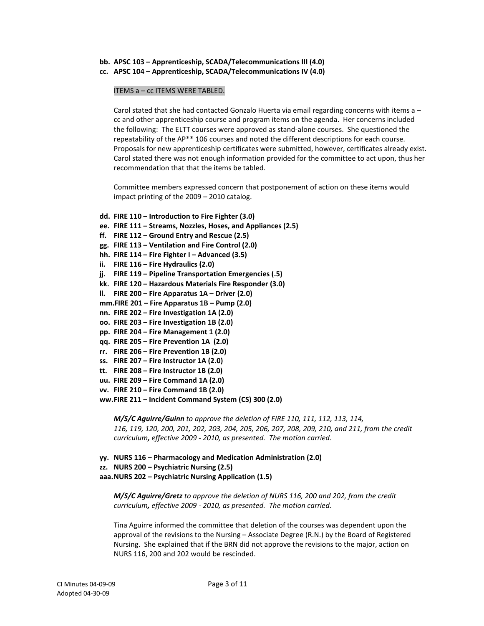- **bb. APSC 103 – Apprenticeship, SCADA/Telecommunications III (4.0)**
- **cc. APSC 104 – Apprenticeship, SCADA/Telecommunications IV (4.0)**

#### ITEMS a – cc ITEMS WERE TABLED.

Carol stated that she had contacted Gonzalo Huerta via email regarding concerns with items a – cc and other apprenticeship course and program items on the agenda. Her concerns included the following: The ELTT courses were approved as stand-alone courses. She questioned the repeatability of the AP\*\* 106 courses and noted the different descriptions for each course. Proposals for new apprenticeship certificates were submitted, however, certificates already exist. Carol stated there was not enough information provided for the committee to act upon, thus her recommendation that that the items be tabled.

Committee members expressed concern that postponement of action on these items would impact printing of the 2009 – 2010 catalog.

- **dd. FIRE 110 – Introduction to Fire Fighter (3.0)**
- **ee. FIRE 111 – Streams, Nozzles, Hoses, and Appliances (2.5)**
- **ff. FIRE 112 – Ground Entry and Rescue (2.5)**
- **gg. FIRE 113 – Ventilation and Fire Control (2.0)**
- **hh. FIRE 114 – Fire Fighter I – Advanced (3.5)**
- **ii. FIRE 116 – Fire Hydraulics (2.0)**
- **jj. FIRE 119 – Pipeline Transportation Emergencies (.5)**
- **kk. FIRE 120 – Hazardous Materials Fire Responder (3.0)**
- **ll. FIRE 200 – Fire Apparatus 1A – Driver (2.0)**
- **mm.FIRE 201 – Fire Apparatus 1B – Pump (2.0)**
- **nn. FIRE 202 – Fire Investigation 1A (2.0)**
- **oo. FIRE 203 – Fire Investigation 1B (2.0)**
- **pp. FIRE 204 – Fire Management 1 (2.0)**
- **qq. FIRE 205 – Fire Prevention 1A (2.0)**
- **rr. FIRE 206 – Fire Prevention 1B (2.0)**
- **ss. FIRE 207 – Fire Instructor 1A (2.0)**
- **tt. FIRE 208 – Fire Instructor 1B (2.0)**
- **uu. FIRE 209 – Fire Command 1A (2.0)**
- **vv. FIRE 210 – Fire Command 1B (2.0)**
- **ww.FIRE 211 – Incident Command System (CS) 300 (2.0)**

*M/S/C Aguirre/Guinn to approve the deletion of FIRE 110, 111, 112, 113, 114, 116, 119, 120, 200, 201, 202, 203, 204, 205, 206, 207, 208, 209, 210, and 211, from the credit curriculum, effective 2009 - 2010, as presented. The motion carried.*

**yy. NURS 116 – Pharmacology and Medication Administration (2.0)**

**zz. NURS 200 – Psychiatric Nursing (2.5)**

**aaa.NURS 202 – Psychiatric Nursing Application (1.5)**

*M/S/C Aguirre/Gretz to approve the deletion of NURS 116, 200 and 202, from the credit curriculum, effective 2009 - 2010, as presented. The motion carried.*

Tina Aguirre informed the committee that deletion of the courses was dependent upon the approval of the revisions to the Nursing – Associate Degree (R.N.) by the Board of Registered Nursing. She explained that if the BRN did not approve the revisions to the major, action on NURS 116, 200 and 202 would be rescinded.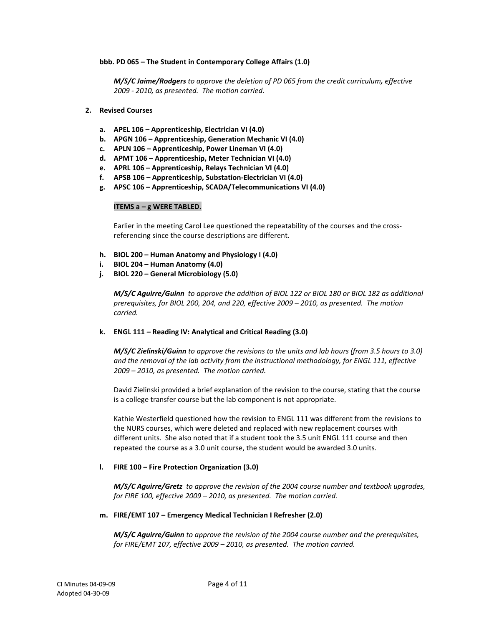## **bbb. PD 065 – The Student in Contemporary College Affairs (1.0)**

*M/S/C Jaime/Rodgers to approve the deletion of PD 065 from the credit curriculum, effective 2009 - 2010, as presented. The motion carried.*

#### **2. Revised Courses**

- **a. APEL 106 – Apprenticeship, Electrician VI (4.0)**
- **b. APGN 106 – Apprenticeship, Generation Mechanic VI (4.0)**
- **c. APLN 106 – Apprenticeship, Power Lineman VI (4.0)**
- **d. APMT 106 – Apprenticeship, Meter Technician VI (4.0)**
- **e. APRL 106 – Apprenticeship, Relays Technician VI (4.0)**
- **f. APSB 106 – Apprenticeship, Substation-Electrician VI (4.0)**
- **g. APSC 106 – Apprenticeship, SCADA/Telecommunications VI (4.0)**

## **ITEMS a – g WERE TABLED.**

Earlier in the meeting Carol Lee questioned the repeatability of the courses and the crossreferencing since the course descriptions are different.

- **h. BIOL 200 – Human Anatomy and Physiology I (4.0)**
- **i. BIOL 204 – Human Anatomy (4.0)**
- **j. BIOL 220 – General Microbiology (5.0)**

*M/S/C Aguirre/Guinn to approve the addition of BIOL 122 or BIOL 180 or BIOL 182 as additional prerequisites, for BIOL 200, 204, and 220, effective 2009 – 2010, as presented. The motion carried.*

#### **k. ENGL 111 – Reading IV: Analytical and Critical Reading (3.0)**

*M/S/C Zielinski/Guinn to approve the revisions to the units and lab hours (from 3.5 hours to 3.0) and the removal of the lab activity from the instructional methodology, for ENGL 111, effective 2009 – 2010, as presented. The motion carried.*

David Zielinski provided a brief explanation of the revision to the course, stating that the course is a college transfer course but the lab component is not appropriate.

Kathie Westerfield questioned how the revision to ENGL 111 was different from the revisions to the NURS courses, which were deleted and replaced with new replacement courses with different units. She also noted that if a student took the 3.5 unit ENGL 111 course and then repeated the course as a 3.0 unit course, the student would be awarded 3.0 units.

#### **l. FIRE 100 – Fire Protection Organization (3.0)**

*M/S/C Aguirre/Gretz to approve the revision of the 2004 course number and textbook upgrades, for FIRE 100, effective 2009 – 2010, as presented. The motion carried.*

#### **m. FIRE/EMT 107 – Emergency Medical Technician I Refresher (2.0)**

*M/S/C Aguirre/Guinn to approve the revision of the 2004 course number and the prerequisites, for FIRE/EMT 107, effective 2009 – 2010, as presented. The motion carried.*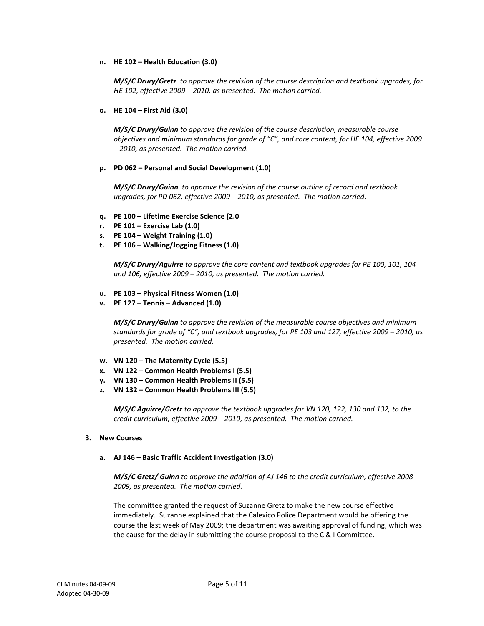## **n. HE 102 – Health Education (3.0)**

*M/S/C Drury/Gretz to approve the revision of the course description and textbook upgrades, for HE 102, effective 2009 – 2010, as presented. The motion carried.*

## **o. HE 104 – First Aid (3.0)**

*M/S/C Drury/Guinn to approve the revision of the course description, measurable course objectives and minimum standards for grade of "C", and core content, for HE 104, effective 2009 – 2010, as presented. The motion carried.*

## **p. PD 062 – Personal and Social Development (1.0)**

*M/S/C Drury/Guinn to approve the revision of the course outline of record and textbook upgrades, for PD 062, effective 2009 – 2010, as presented. The motion carried.*

- **q. PE 100 – Lifetime Exercise Science (2.0**
- **r. PE 101 – Exercise Lab (1.0)**
- **s. PE 104 – Weight Training (1.0)**
- **t. PE 106 – Walking/Jogging Fitness (1.0)**

*M/S/C Drury/Aguirre to approve the core content and textbook upgrades for PE 100, 101, 104 and 106, effective 2009 – 2010, as presented. The motion carried.*

- **u. PE 103 – Physical Fitness Women (1.0)**
- **v. PE 127 – Tennis – Advanced (1.0)**

*M/S/C Drury/Guinn to approve the revision of the measurable course objectives and minimum standards for grade of "C", and textbook upgrades, for PE 103 and 127, effective 2009 – 2010, as presented. The motion carried.*

- **w. VN 120 – The Maternity Cycle (5.5)**
- **x. VN 122 – Common Health Problems I (5.5)**
- **y. VN 130 – Common Health Problems II (5.5)**
- **z. VN 132 – Common Health Problems III (5.5)**

*M/S/C Aguirre/Gretz to approve the textbook upgrades for VN 120, 122, 130 and 132, to the credit curriculum, effective 2009 – 2010, as presented. The motion carried.*

#### **3. New Courses**

#### **a. AJ 146 – Basic Traffic Accident Investigation (3.0)**

*M/S/C Gretz/ Guinn to approve the addition of AJ 146 to the credit curriculum, effective 2008 – 2009, as presented. The motion carried.*

The committee granted the request of Suzanne Gretz to make the new course effective immediately. Suzanne explained that the Calexico Police Department would be offering the course the last week of May 2009; the department was awaiting approval of funding, which was the cause for the delay in submitting the course proposal to the C & I Committee.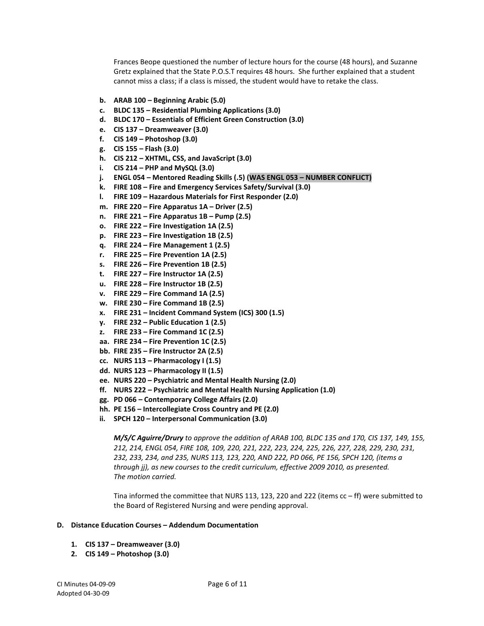Frances Beope questioned the number of lecture hours for the course (48 hours), and Suzanne Gretz explained that the State P.O.S.T requires 48 hours. She further explained that a student cannot miss a class; if a class is missed, the student would have to retake the class.

- **b. ARAB 100 – Beginning Arabic (5.0)**
- **c. BLDC 135 – Residential Plumbing Applications (3.0)**
- **d. BLDC 170 – Essentials of Efficient Green Construction (3.0)**
- **e. CIS 137 – Dreamweaver (3.0)**
- **f. CIS 149 – Photoshop (3.0)**
- **g. CIS 155 – Flash (3.0)**
- **h. CIS 212 – XHTML, CSS, and JavaScript (3.0)**
- **i. CIS 214 – PHP and MySQL (3.0)**
- **j. ENGL 054 – Mentored Reading Skills (.5) (WAS ENGL 053 – NUMBER CONFLICT)**
- **k. FIRE 108 – Fire and Emergency Services Safety/Survival (3.0)**
- **l. FIRE 109 – Hazardous Materials for First Responder (2.0)**
- **m. FIRE 220 – Fire Apparatus 1A – Driver (2.5)**
- **n. FIRE 221 – Fire Apparatus 1B – Pump (2.5)**
- **o. FIRE 222 – Fire Investigation 1A (2.5)**
- **p. FIRE 223 – Fire Investigation 1B (2.5)**
- **q. FIRE 224 – Fire Management 1 (2.5)**
- **r. FIRE 225 – Fire Prevention 1A (2.5)**
- **s. FIRE 226 – Fire Prevention 1B (2.5)**
- **t. FIRE 227 – Fire Instructor 1A (2.5)**
- **u. FIRE 228 – Fire Instructor 1B (2.5)**
- **v. FIRE 229 – Fire Command 1A (2.5)**
- **w. FIRE 230 – Fire Command 1B (2.5)**
- **x. FIRE 231 – Incident Command System (ICS) 300 (1.5)**
- **y. FIRE 232 – Public Education 1 (2.5)**
- **z. FIRE 233 – Fire Command 1C (2.5)**
- **aa. FIRE 234 – Fire Prevention 1C (2.5)**
- **bb. FIRE 235 – Fire Instructor 2A (2.5)**
- **cc. NURS 113 – Pharmacology I (1.5)**
- **dd. NURS 123 – Pharmacology II (1.5)**
- **ee. NURS 220 – Psychiatric and Mental Health Nursing (2.0)**
- **ff. NURS 222 – Psychiatric and Mental Health Nursing Application (1.0)**
- **gg. PD 066 – Contemporary College Affairs (2.0)**
- **hh. PE 156 – Intercollegiate Cross Country and PE (2.0)**
- **ii. SPCH 120 – Interpersonal Communication (3.0)**

*M/S/C Aguirre/Drury to approve the addition of ARAB 100, BLDC 135 and 170, CIS 137, 149, 155, 212, 214, ENGL 054, FIRE 108, 109, 220, 221, 222, 223, 224, 225, 226, 227, 228, 229, 230, 231, 232, 233, 234, and 235, NURS 113, 123, 220, AND 222, PD 066, PE 156, SPCH 120, (items a through jj), as new courses to the credit curriculum, effective 2009 2010, as presented. The motion carried.*

Tina informed the committee that NURS 113, 123, 220 and 222 (items cc – ff) were submitted to the Board of Registered Nursing and were pending approval.

#### **D. Distance Education Courses – Addendum Documentation**

- **1. CIS 137 – Dreamweaver (3.0)**
- **2. CIS 149 – Photoshop (3.0)**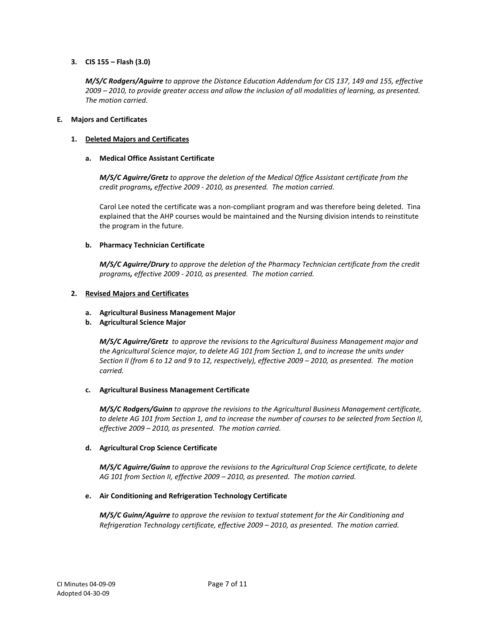# **3. CIS 155 – Flash (3.0)**

*M/S/C Rodgers/Aguirre to approve the Distance Education Addendum for CIS 137, 149 and 155, effective 2009 – 2010, to provide greater access and allow the inclusion of all modalities of learning, as presented. The motion carried.*

## **E. Majors and Certificates**

# **1. Deleted Majors and Certificates**

# **a. Medical Office Assistant Certificate**

*M/S/C Aguirre/Gretz to approve the deletion of the Medical Office Assistant certificate from the credit programs, effective 2009 - 2010, as presented. The motion carried.*

Carol Lee noted the certificate was a non-compliant program and was therefore being deleted. Tina explained that the AHP courses would be maintained and the Nursing division intends to reinstitute the program in the future.

# **b. Pharmacy Technician Certificate**

*M/S/C Aguirre/Drury to approve the deletion of the Pharmacy Technician certificate from the credit programs, effective 2009 - 2010, as presented. The motion carried.*

# **2. Revised Majors and Certificates**

# **a. Agricultural Business Management Major**

# **b. Agricultural Science Major**

*M/S/C Aguirre/Gretz to approve the revisions to the Agricultural Business Management major and the Agricultural Science major, to delete AG 101 from Section 1, and to increase the units under Section II (from 6 to 12 and 9 to 12, respectively), effective 2009 – 2010, as presented. The motion carried.*

# **c. Agricultural Business Management Certificate**

*M/S/C Rodgers/Guinn to approve the revisions to the Agricultural Business Management certificate, to delete AG 101 from Section 1, and to increase the number of courses to be selected from Section II, effective 2009 – 2010, as presented. The motion carried.*

# **d. Agricultural Crop Science Certificate**

*M/S/C Aguirre/Guinn to approve the revisions to the Agricultural Crop Science certificate, to delete AG 101 from Section II, effective 2009 – 2010, as presented. The motion carried.*

# **e. Air Conditioning and Refrigeration Technology Certificate**

*M/S/C Guinn/Aguirre to approve the revision to textual statement for the Air Conditioning and Refrigeration Technology certificate, effective 2009 – 2010, as presented. The motion carried.*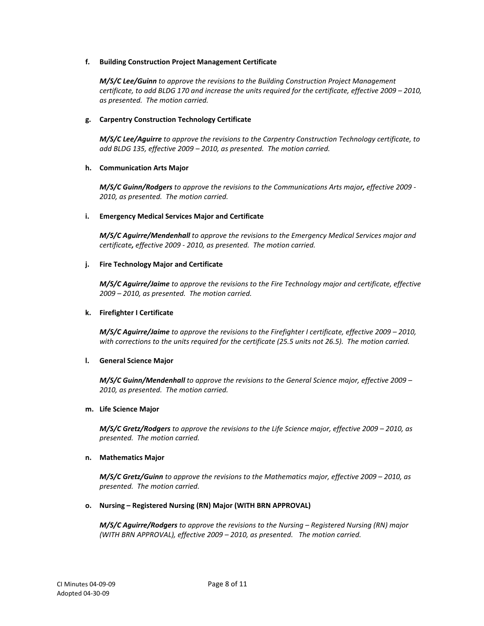## **f. Building Construction Project Management Certificate**

*M/S/C Lee/Guinn to approve the revisions to the Building Construction Project Management certificate, to add BLDG 170 and increase the units required for the certificate, effective 2009 – 2010, as presented. The motion carried.*

# **g. Carpentry Construction Technology Certificate**

*M/S/C Lee/Aguirre to approve the revisions to the Carpentry Construction Technology certificate, to add BLDG 135, effective 2009 – 2010, as presented. The motion carried.*

## **h. Communication Arts Major**

*M/S/C Guinn/Rodgers to approve the revisions to the Communications Arts major, effective 2009 - 2010, as presented. The motion carried.*

## **i. Emergency Medical Services Major and Certificate**

*M/S/C Aguirre/Mendenhall to approve the revisions to the Emergency Medical Services major and certificate, effective 2009 - 2010, as presented. The motion carried.*

## **j. Fire Technology Major and Certificate**

*M/S/C Aguirre/Jaime to approve the revisions to the Fire Technology major and certificate, effective 2009 – 2010, as presented. The motion carried.*

## **k. Firefighter I Certificate**

*M/S/C Aguirre/Jaime to approve the revisions to the Firefighter I certificate, effective 2009 – 2010, with corrections to the units required for the certificate (25.5 units not 26.5). The motion carried.*

# **l. General Science Major**

*M/S/C Guinn/Mendenhall to approve the revisions to the General Science major, effective 2009 – 2010, as presented. The motion carried.*

#### **m. Life Science Major**

*M/S/C Gretz/Rodgers to approve the revisions to the Life Science major, effective 2009 – 2010, as presented. The motion carried.*

#### **n. Mathematics Major**

*M/S/C Gretz/Guinn to approve the revisions to the Mathematics major, effective 2009 – 2010, as presented. The motion carried.*

# **o. Nursing – Registered Nursing (RN) Major (WITH BRN APPROVAL)**

*M/S/C Aguirre/Rodgers to approve the revisions to the Nursing – Registered Nursing (RN) major (WITH BRN APPROVAL), effective 2009 – 2010, as presented. The motion carried.*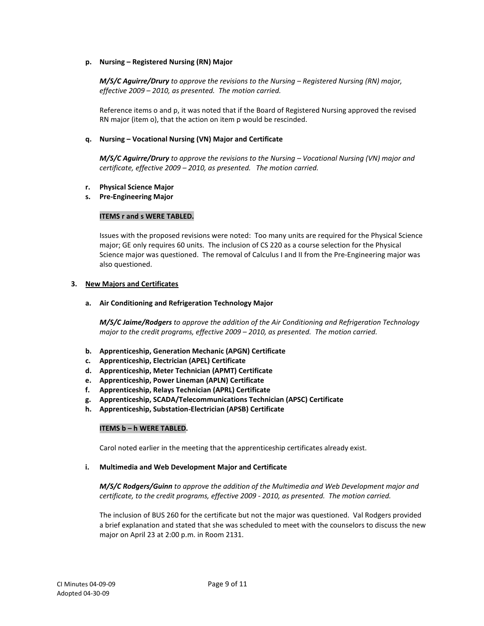## **p. Nursing – Registered Nursing (RN) Major**

*M/S/C Aguirre/Drury to approve the revisions to the Nursing – Registered Nursing (RN) major, effective 2009 – 2010, as presented. The motion carried.*

Reference items o and p, it was noted that if the Board of Registered Nursing approved the revised RN major (item o), that the action on item p would be rescinded.

## **q. Nursing – Vocational Nursing (VN) Major and Certificate**

*M/S/C Aguirre/Drury to approve the revisions to the Nursing – Vocational Nursing (VN) major and certificate, effective 2009 – 2010, as presented. The motion carried.*

## **r. Physical Science Major**

## **s. Pre-Engineering Major**

## **ITEMS r and s WERE TABLED.**

Issues with the proposed revisions were noted: Too many units are required for the Physical Science major; GE only requires 60 units. The inclusion of CS 220 as a course selection for the Physical Science major was questioned. The removal of Calculus I and II from the Pre-Engineering major was also questioned.

#### **3. New Majors and Certificates**

#### **a. Air Conditioning and Refrigeration Technology Major**

*M/S/C Jaime/Rodgers to approve the addition of the Air Conditioning and Refrigeration Technology major to the credit programs, effective 2009 – 2010, as presented. The motion carried.*

- **b. Apprenticeship, Generation Mechanic (APGN) Certificate**
- **c. Apprenticeship, Electrician (APEL) Certificate**
- **d. Apprenticeship, Meter Technician (APMT) Certificate**
- **e. Apprenticeship, Power Lineman (APLN) Certificate**
- **f. Apprenticeship, Relays Technician (APRL) Certificate**
- **g. Apprenticeship, SCADA/Telecommunications Technician (APSC) Certificate**
- **h. Apprenticeship, Substation-Electrician (APSB) Certificate**

#### **ITEMS b – h WERE TABLED.**

Carol noted earlier in the meeting that the apprenticeship certificates already exist.

#### **i. Multimedia and Web Development Major and Certificate**

*M/S/C Rodgers/Guinn to approve the addition of the Multimedia and Web Development major and certificate, to the credit programs, effective 2009 - 2010, as presented. The motion carried.*

The inclusion of BUS 260 for the certificate but not the major was questioned. Val Rodgers provided a brief explanation and stated that she was scheduled to meet with the counselors to discuss the new major on April 23 at 2:00 p.m. in Room 2131.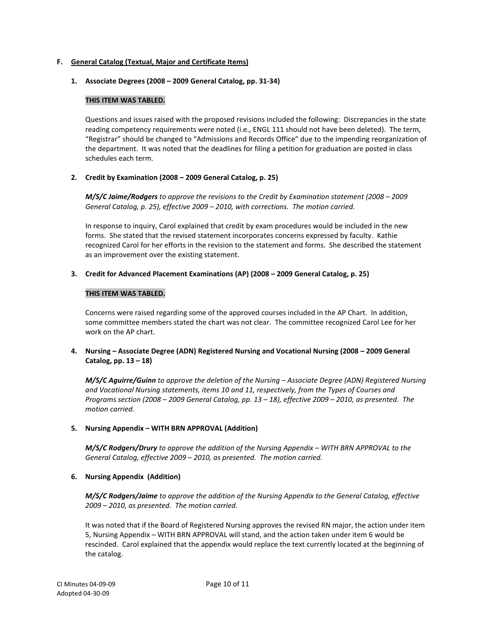## **F. General Catalog (Textual, Major and Certificate Items)**

## **1. Associate Degrees (2008 – 2009 General Catalog, pp. 31-34)**

## **THIS ITEM WAS TABLED.**

Questions and issues raised with the proposed revisions included the following: Discrepancies in the state reading competency requirements were noted (i.e., ENGL 111 should not have been deleted). The term, "Registrar" should be changed to "Admissions and Records Office" due to the impending reorganization of the department. It was noted that the deadlines for filing a petition for graduation are posted in class schedules each term.

## **2. Credit by Examination (2008 – 2009 General Catalog, p. 25)**

*M/S/C Jaime/Rodgers to approve the revisions to the Credit by Examination statement (2008 – 2009 General Catalog, p. 25), effective 2009 – 2010, with corrections. The motion carried.*

In response to inquiry, Carol explained that credit by exam procedures would be included in the new forms. She stated that the revised statement incorporates concerns expressed by faculty. Kathie recognized Carol for her efforts in the revision to the statement and forms. She described the statement as an improvement over the existing statement.

## **3. Credit for Advanced Placement Examinations (AP) (2008 – 2009 General Catalog, p. 25)**

## **THIS ITEM WAS TABLED.**

Concerns were raised regarding some of the approved courses included in the AP Chart. In addition, some committee members stated the chart was not clear. The committee recognized Carol Lee for her work on the AP chart.

# **4. Nursing – Associate Degree (ADN) Registered Nursing and Vocational Nursing (2008 – 2009 General Catalog, pp. 13 – 18)**

*M/S/C Aguirre/Guinn to approve the deletion of the Nursing – Associate Degree (ADN) Registered Nursing and Vocational Nursing statements, items 10 and 11, respectively, from the Types of Courses and Programs section (2008 – 2009 General Catalog, pp. 13 – 18), effective 2009 – 2010, as presented. The motion carried.*

# **5. Nursing Appendix – WITH BRN APPROVAL (Addition)**

*M/S/C Rodgers/Drury to approve the addition of the Nursing Appendix – WITH BRN APPROVAL to the General Catalog, effective 2009 – 2010, as presented. The motion carried.*

# **6. Nursing Appendix (Addition)**

*M/S/C Rodgers/Jaime to approve the addition of the Nursing Appendix to the General Catalog, effective 2009 – 2010, as presented. The motion carried.*

It was noted that if the Board of Registered Nursing approves the revised RN major, the action under item 5, Nursing Appendix – WITH BRN APPROVAL will stand, and the action taken under item 6 would be rescinded. Carol explained that the appendix would replace the text currently located at the beginning of the catalog.